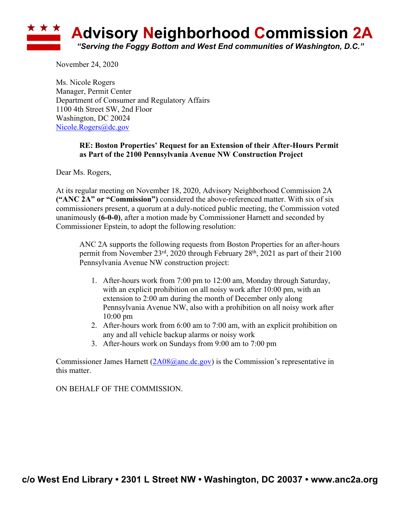

November 24, 2020

Ms. Nicole Rogers Manager, Permit Center Department of Consumer and Regulatory Affairs 1100 4th Street SW, 2nd Floor Washington, DC 20024 Nicole.Rogers@dc.gov

## **RE: Boston Properties' Request for an Extension of their After-Hours Permit as Part of the 2100 Pennsylvania Avenue NW Construction Project**

Dear Ms. Rogers,

At its regular meeting on November 18, 2020, Advisory Neighborhood Commission 2A **("ANC 2A" or "Commission")** considered the above-referenced matter. With six of six commissioners present, a quorum at a duly-noticed public meeting, the Commission voted unanimously **(6-0-0)**, after a motion made by Commissioner Harnett and seconded by Commissioner Epstein, to adopt the following resolution:

ANC 2A supports the following requests from Boston Properties for an after-hours permit from November 23rd, 2020 through February 28th, 2021 as part of their 2100 Pennsylvania Avenue NW construction project:

- 1. After-hours work from 7:00 pm to 12:00 am, Monday through Saturday, with an explicit prohibition on all noisy work after 10:00 pm, with an extension to 2:00 am during the month of December only along Pennsylvania Avenue NW, also with a prohibition on all noisy work after 10:00 pm
- 2. After-hours work from 6:00 am to 7:00 am, with an explicit prohibition on any and all vehicle backup alarms or noisy work
- 3. After-hours work on Sundays from 9:00 am to 7:00 pm

Commissioner James Harnett  $(2A08@anc,dc.gov)$  is the Commission's representative in this matter.

ON BEHALF OF THE COMMISSION.